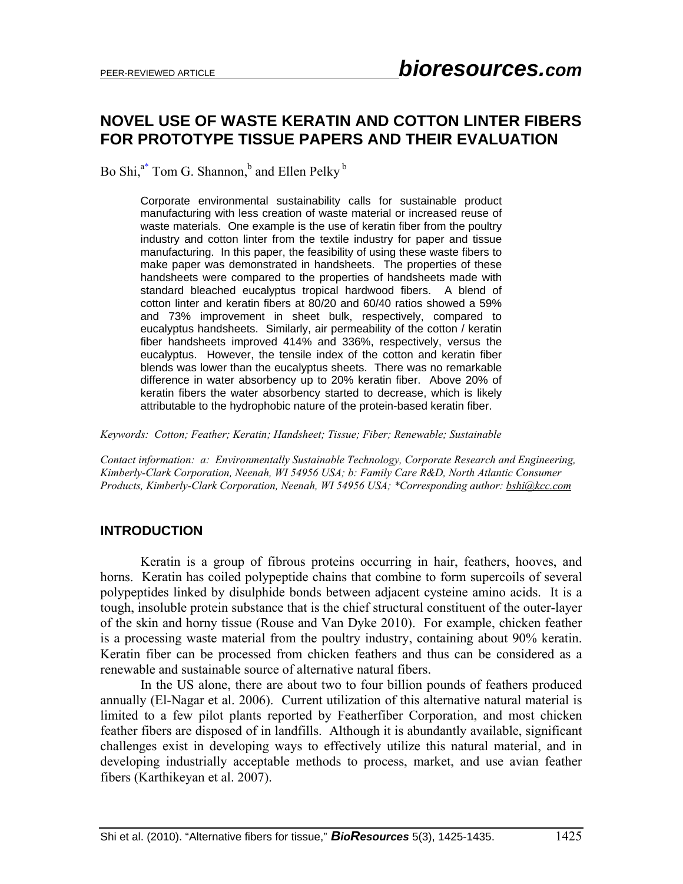# **NOVEL USE OF WASTE KERATIN AND COTTON LINTER FIBERS FOR PROTOTYPE TISSUE PAPERS AND THEIR EVALUATION**

Bo Shi,<sup>a\*</sup> Tom G. Shannon,<sup>b</sup> and Ellen Pelky <sup>b</sup>

Corporate environmental sustainability calls for sustainable product manufacturing with less creation of waste material or increased reuse of waste materials. One example is the use of keratin fiber from the poultry industry and cotton linter from the textile industry for paper and tissue manufacturing. In this paper, the feasibility of using these waste fibers to make paper was demonstrated in handsheets. The properties of these handsheets were compared to the properties of handsheets made with standard bleached eucalyptus tropical hardwood fibers. A blend of cotton linter and keratin fibers at 80/20 and 60/40 ratios showed a 59% and 73% improvement in sheet bulk, respectively, compared to eucalyptus handsheets. Similarly, air permeability of the cotton / keratin fiber handsheets improved 414% and 336%, respectively, versus the eucalyptus. However, the tensile index of the cotton and keratin fiber blends was lower than the eucalyptus sheets. There was no remarkable difference in water absorbency up to 20% keratin fiber. Above 20% of keratin fibers the water absorbency started to decrease, which is likely attributable to the hydrophobic nature of the protein-based keratin fiber.

*Keywords: Cotton; Feather; Keratin; Handsheet; Tissue; Fiber; Renewable; Sustainable* 

*Contact information: a: Environmentally Sustainable Technology, Corporate Research and Engineering, Kimberly-Clark Corporation, Neenah, WI 54956 USA; b: Family Care R&D, North Atlantic Consumer Products, Kimberly-Clark Corporation, Neenah, WI 54956 USA; \*Corresponding author: bshi@kcc.com*

### **INTRODUCTION**

 Keratin is a group of fibrous proteins occurring in hair, feathers, hooves, and horns. Keratin has coiled polypeptide chains that combine to form supercoils of several polypeptides linked by disulphide bonds between adjacent cysteine amino acids. It is a tough, insoluble protein substance that is the chief structural constituent of the outer-layer of the skin and horny tissue (Rouse and Van Dyke 2010). For example, chicken feather is a processing waste material from the poultry industry, containing about 90% keratin. Keratin fiber can be processed from chicken feathers and thus can be considered as a renewable and sustainable source of alternative natural fibers.

 In the US alone, there are about two to four billion pounds of feathers produced annually (El-Nagar et al. 2006). Current utilization of this alternative natural material is limited to a few pilot plants reported by Featherfiber Corporation, and most chicken feather fibers are disposed of in landfills. Although it is abundantly available, significant challenges exist in developing ways to effectively utilize this natural material, and in developing industrially acceptable methods to process, market, and use avian feather fibers (Karthikeyan et al. 2007).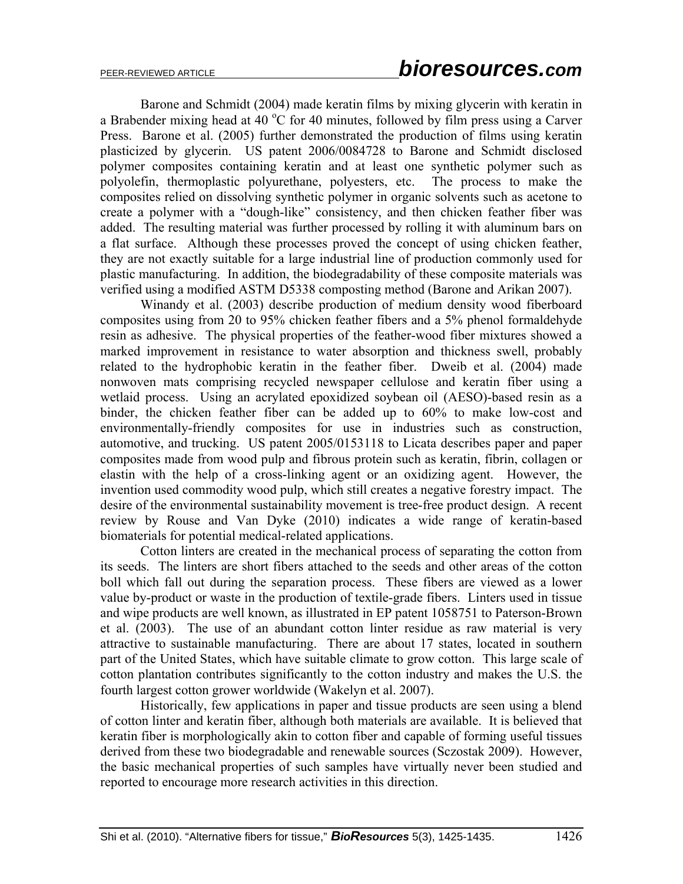Barone and Schmidt (2004) made keratin films by mixing glycerin with keratin in a Brabender mixing head at 40  $^{\circ}$ C for 40 minutes, followed by film press using a Carver Press. Barone et al. (2005) further demonstrated the production of films using keratin plasticized by glycerin. US patent 2006/0084728 to Barone and Schmidt disclosed polymer composites containing keratin and at least one synthetic polymer such as polyolefin, thermoplastic polyurethane, polyesters, etc. The process to make the composites relied on dissolving synthetic polymer in organic solvents such as acetone to create a polymer with a "dough-like" consistency, and then chicken feather fiber was added. The resulting material was further processed by rolling it with aluminum bars on a flat surface. Although these processes proved the concept of using chicken feather, they are not exactly suitable for a large industrial line of production commonly used for plastic manufacturing. In addition, the biodegradability of these composite materials was verified using a modified ASTM D5338 composting method (Barone and Arikan 2007).

Winandy et al. (2003) describe production of medium density wood fiberboard composites using from 20 to 95% chicken feather fibers and a 5% phenol formaldehyde resin as adhesive. The physical properties of the feather-wood fiber mixtures showed a marked improvement in resistance to water absorption and thickness swell, probably related to the hydrophobic keratin in the feather fiber. Dweib et al. (2004) made nonwoven mats comprising recycled newspaper cellulose and keratin fiber using a wetlaid process. Using an acrylated epoxidized soybean oil (AESO)-based resin as a binder, the chicken feather fiber can be added up to 60% to make low-cost and environmentally-friendly composites for use in industries such as construction, automotive, and trucking. US patent 2005/0153118 to Licata describes paper and paper composites made from wood pulp and fibrous protein such as keratin, fibrin, collagen or elastin with the help of a cross-linking agent or an oxidizing agent. However, the invention used commodity wood pulp, which still creates a negative forestry impact. The desire of the environmental sustainability movement is tree-free product design. A recent review by Rouse and Van Dyke (2010) indicates a wide range of keratin-based biomaterials for potential medical-related applications.

Cotton linters are created in the mechanical process of separating the cotton from its seeds. The linters are short fibers attached to the seeds and other areas of the cotton boll which fall out during the separation process. These fibers are viewed as a lower value by-product or waste in the production of textile-grade fibers. Linters used in tissue and wipe products are well known, as illustrated in EP patent 1058751 to Paterson-Brown et al. (2003). The use of an abundant cotton linter residue as raw material is very attractive to sustainable manufacturing. There are about 17 states, located in southern part of the United States, which have suitable climate to grow cotton. This large scale of cotton plantation contributes significantly to the cotton industry and makes the U.S. the fourth largest cotton grower worldwide (Wakelyn et al. 2007).

Historically, few applications in paper and tissue products are seen using a blend of cotton linter and keratin fiber, although both materials are available. It is believed that keratin fiber is morphologically akin to cotton fiber and capable of forming useful tissues derived from these two biodegradable and renewable sources (Sczostak 2009). However, the basic mechanical properties of such samples have virtually never been studied and reported to encourage more research activities in this direction.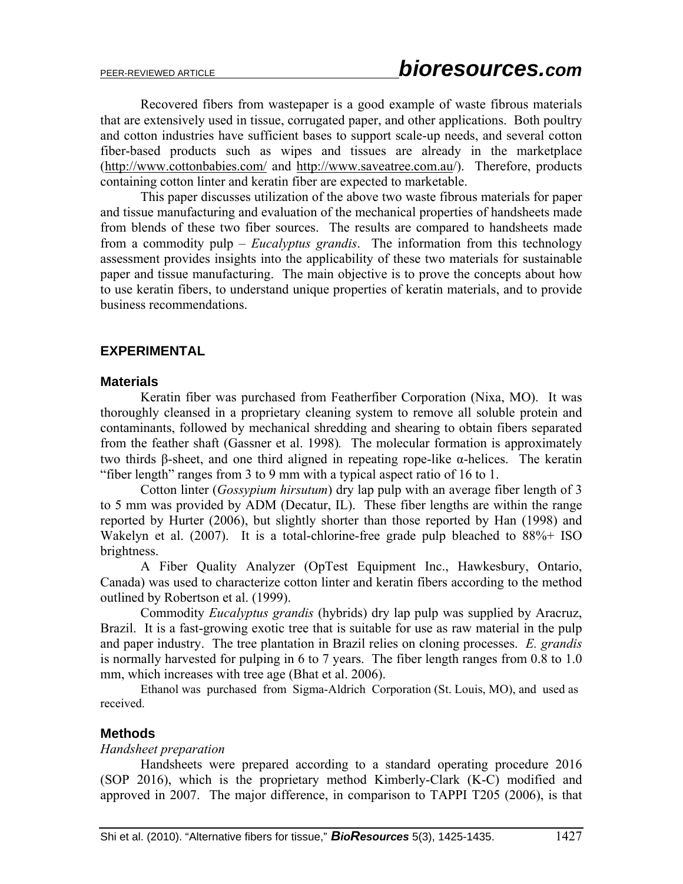Recovered fibers from wastepaper is a good example of waste fibrous materials that are extensively used in tissue, corrugated paper, and other applications. Both poultry and cotton industries have sufficient bases to support scale-up needs, and several cotton fiber-based products such as wipes and tissues are already in the marketplace (http://www.cottonbabies.com/ and http://www.saveatree.com.au/). Therefore, products containing cotton linter and keratin fiber are expected to marketable.

This paper discusses utilization of the above two waste fibrous materials for paper and tissue manufacturing and evaluation of the mechanical properties of handsheets made from blends of these two fiber sources. The results are compared to handsheets made from a commodity pulp – *Eucalyptus grandis*. The information from this technology assessment provides insights into the applicability of these two materials for sustainable paper and tissue manufacturing. The main objective is to prove the concepts about how to use keratin fibers, to understand unique properties of keratin materials, and to provide business recommendations.

### **EXPERIMENTAL**

#### **Materials**

 Keratin fiber was purchased from Featherfiber Corporation (Nixa, MO). It was thoroughly cleansed in a proprietary cleaning system to remove all soluble protein and contaminants, followed by mechanical shredding and shearing to obtain fibers separated from the feather shaft (Gassner et al. 1998)*.* The molecular formation is approximately two thirds β-sheet, and one third aligned in repeating rope-like α-helices. The keratin "fiber length" ranges from 3 to 9 mm with a typical aspect ratio of 16 to 1.

Cotton linter (*Gossypium hirsutum*) dry lap pulp with an average fiber length of 3 to 5 mm was provided by ADM (Decatur, IL). These fiber lengths are within the range reported by Hurter (2006), but slightly shorter than those reported by Han (1998) and Wakelyn et al.  $(2007)$ . It is a total-chlorine-free grade pulp bleached to  $88\%$ + ISO brightness.

A Fiber Quality Analyzer (OpTest Equipment Inc., Hawkesbury, Ontario, Canada) was used to characterize cotton linter and keratin fibers according to the method outlined by Robertson et al. (1999).

Commodity *Eucalyptus grandis* (hybrids) dry lap pulp was supplied by Aracruz, Brazil. It is a fast-growing exotic tree that is suitable for use as raw material in the pulp and paper industry. The tree plantation in Brazil relies on cloning processes. *E. grandis* is normally harvested for pulping in 6 to 7 years. The fiber length ranges from 0.8 to 1.0 mm, which increases with tree age (Bhat et al. 2006).

 Ethanol was purchased from Sigma-Aldrich Corporation (St. Louis, MO), and used as received.

#### **Methods**

#### *Handsheet preparation*

Handsheets were prepared according to a standard operating procedure 2016 (SOP 2016), which is the proprietary method Kimberly-Clark (K-C) modified and approved in 2007. The major difference, in comparison to TAPPI T205 (2006), is that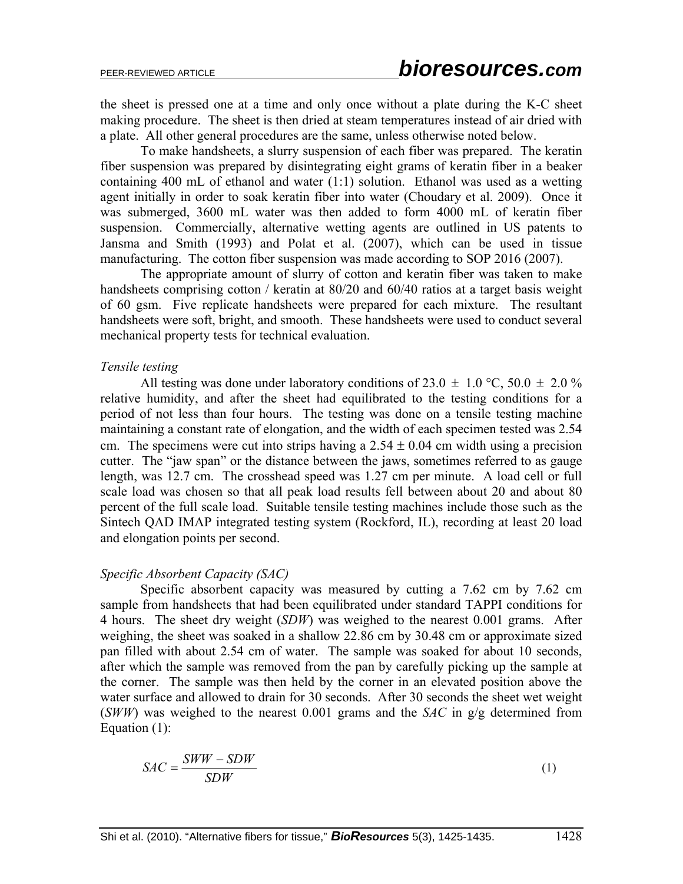the sheet is pressed one at a time and only once without a plate during the K-C sheet making procedure. The sheet is then dried at steam temperatures instead of air dried with a plate. All other general procedures are the same, unless otherwise noted below.

To make handsheets, a slurry suspension of each fiber was prepared. The keratin fiber suspension was prepared by disintegrating eight grams of keratin fiber in a beaker containing 400 mL of ethanol and water (1:1) solution. Ethanol was used as a wetting agent initially in order to soak keratin fiber into water (Choudary et al. 2009). Once it was submerged, 3600 mL water was then added to form 4000 mL of keratin fiber suspension. Commercially, alternative wetting agents are outlined in US patents to Jansma and Smith (1993) and Polat et al. (2007), which can be used in tissue manufacturing. The cotton fiber suspension was made according to SOP 2016 (2007).

The appropriate amount of slurry of cotton and keratin fiber was taken to make handsheets comprising cotton / keratin at 80/20 and 60/40 ratios at a target basis weight of 60 gsm. Five replicate handsheets were prepared for each mixture. The resultant handsheets were soft, bright, and smooth. These handsheets were used to conduct several mechanical property tests for technical evaluation.

#### *Tensile testing*

All testing was done under laboratory conditions of 23.0  $\pm$  1.0 °C, 50.0  $\pm$  2.0 % relative humidity, and after the sheet had equilibrated to the testing conditions for a period of not less than four hours. The testing was done on a tensile testing machine maintaining a constant rate of elongation, and the width of each specimen tested was 2.54 cm. The specimens were cut into strips having a  $2.54 \pm 0.04$  cm width using a precision cutter. The "jaw span" or the distance between the jaws, sometimes referred to as gauge length, was 12.7 cm. The crosshead speed was 1.27 cm per minute. A load cell or full scale load was chosen so that all peak load results fell between about 20 and about 80 percent of the full scale load. Suitable tensile testing machines include those such as the Sintech QAD IMAP integrated testing system (Rockford, IL), recording at least 20 load and elongation points per second.

#### *Specific Absorbent Capacity (SAC)*

Specific absorbent capacity was measured by cutting a 7.62 cm by 7.62 cm sample from handsheets that had been equilibrated under standard TAPPI conditions for 4 hours. The sheet dry weight (*SDW*) was weighed to the nearest 0.001 grams. After weighing, the sheet was soaked in a shallow 22.86 cm by 30.48 cm or approximate sized pan filled with about 2.54 cm of water. The sample was soaked for about 10 seconds, after which the sample was removed from the pan by carefully picking up the sample at the corner. The sample was then held by the corner in an elevated position above the water surface and allowed to drain for 30 seconds. After 30 seconds the sheet wet weight (*SWW*) was weighed to the nearest 0.001 grams and the *SAC* in g/g determined from Equation (1):

$$
SAC = \frac{SWW - SDW}{SDW} \tag{1}
$$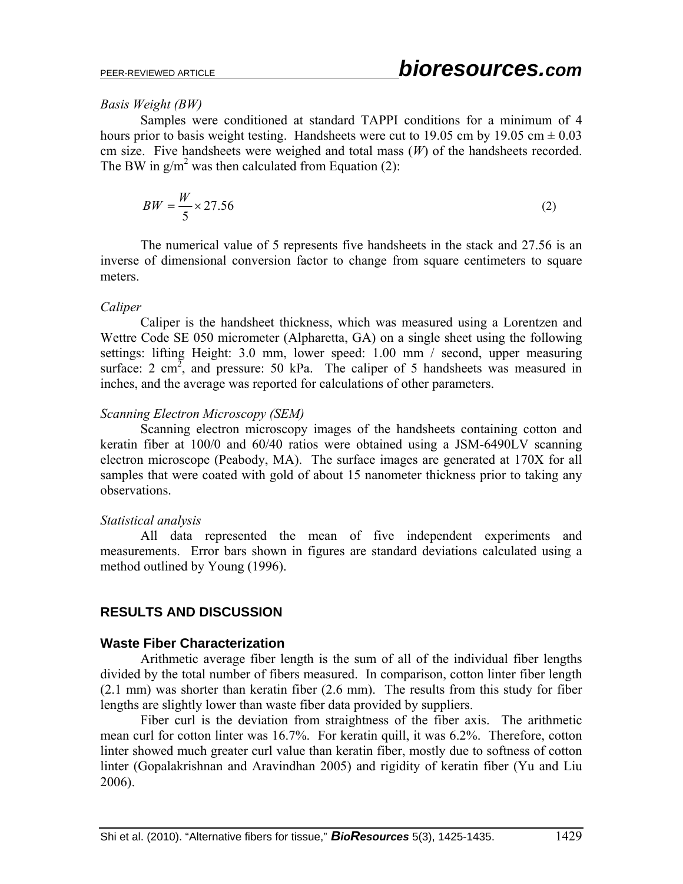#### *Basis Weight (BW)*

Samples were conditioned at standard TAPPI conditions for a minimum of 4 hours prior to basis weight testing. Handsheets were cut to 19.05 cm by 19.05 cm  $\pm$  0.03 cm size. Five handsheets were weighed and total mass (*W*) of the handsheets recorded. The BW in  $g/m^2$  was then calculated from Equation (2):

$$
BW = \frac{W}{5} \times 27.56\tag{2}
$$

The numerical value of 5 represents five handsheets in the stack and 27.56 is an inverse of dimensional conversion factor to change from square centimeters to square meters.

#### *Caliper*

Caliper is the handsheet thickness, which was measured using a Lorentzen and Wettre Code SE 050 micrometer (Alpharetta, GA) on a single sheet using the following settings: lifting Height: 3.0 mm, lower speed: 1.00 mm / second, upper measuring surface: 2 cm<sup>2</sup>, and pressure: 50 kPa. The caliper of 5 handsheets was measured in inches, and the average was reported for calculations of other parameters.

### *Scanning Electron Microscopy (SEM)*

Scanning electron microscopy images of the handsheets containing cotton and keratin fiber at 100/0 and 60/40 ratios were obtained using a JSM-6490LV scanning electron microscope (Peabody, MA). The surface images are generated at 170X for all samples that were coated with gold of about 15 nanometer thickness prior to taking any observations.

#### *Statistical analysis*

All data represented the mean of five independent experiments and measurements. Error bars shown in figures are standard deviations calculated using a method outlined by Young (1996).

# **RESULTS AND DISCUSSION**

### **Waste Fiber Characterization**

Arithmetic average fiber length is the sum of all of the individual fiber lengths divided by the total number of fibers measured. In comparison, cotton linter fiber length (2.1 mm) was shorter than keratin fiber (2.6 mm). The results from this study for fiber lengths are slightly lower than waste fiber data provided by suppliers.

Fiber curl is the deviation from straightness of the fiber axis. The arithmetic mean curl for cotton linter was 16.7%. For keratin quill, it was 6.2%. Therefore, cotton linter showed much greater curl value than keratin fiber, mostly due to softness of cotton linter (Gopalakrishnan and Aravindhan 2005) and rigidity of keratin fiber (Yu and Liu 2006).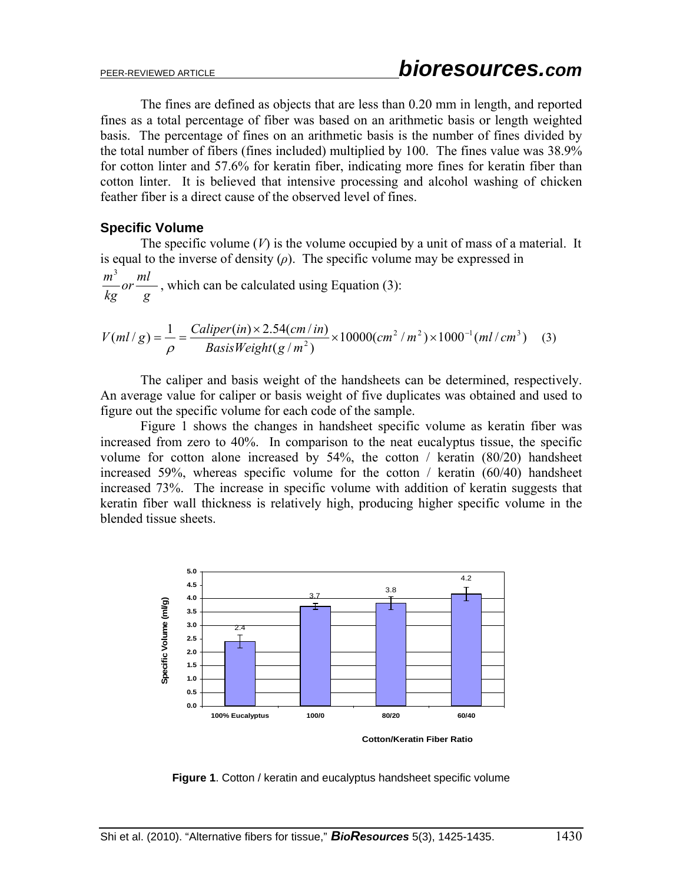The fines are defined as objects that are less than 0.20 mm in length, and reported fines as a total percentage of fiber was based on an arithmetic basis or length weighted basis. The percentage of fines on an arithmetic basis is the number of fines divided by the total number of fibers (fines included) multiplied by 100. The fines value was 38.9% for cotton linter and 57.6% for keratin fiber, indicating more fines for keratin fiber than cotton linter. It is believed that intensive processing and alcohol washing of chicken feather fiber is a direct cause of the observed level of fines.

### **Specific Volume**

The specific volume  $(V)$  is the volume occupied by a unit of mass of a material. It is equal to the inverse of density  $(\rho)$ . The specific volume may be expressed in *g ml or kg*  $\frac{m^3}{1}$  or  $\frac{ml}{1}$ , which can be calculated using Equation (3):

$$
V(ml/g) = \frac{1}{\rho} = \frac{Caliper(in) \times 2.54(cm/in)}{BasisWeight(g/m^2)} \times 10000(cm^2/m^2) \times 1000^{-1} (ml/cm^3)
$$
 (3)

The caliper and basis weight of the handsheets can be determined, respectively. An average value for caliper or basis weight of five duplicates was obtained and used to figure out the specific volume for each code of the sample.

Figure 1 shows the changes in handsheet specific volume as keratin fiber was increased from zero to 40%. In comparison to the neat eucalyptus tissue, the specific volume for cotton alone increased by 54%, the cotton / keratin (80/20) handsheet increased 59%, whereas specific volume for the cotton / keratin (60/40) handsheet increased 73%. The increase in specific volume with addition of keratin suggests that keratin fiber wall thickness is relatively high, producing higher specific volume in the blended tissue sheets.



**Figure 1.** Cotton / keratin and eucalyptus handsheet specific volume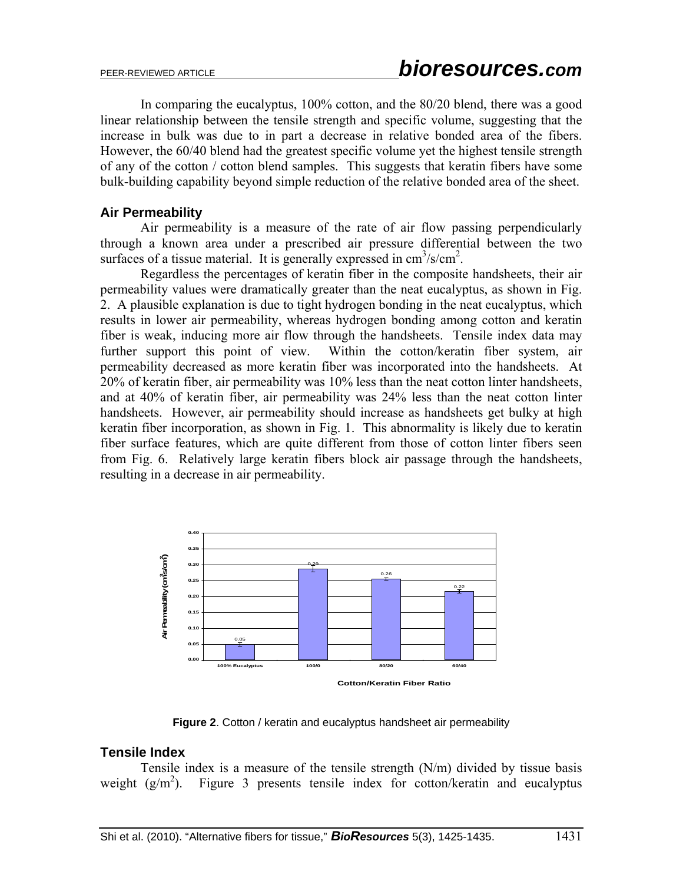In comparing the eucalyptus, 100% cotton, and the 80/20 blend, there was a good linear relationship between the tensile strength and specific volume, suggesting that the increase in bulk was due to in part a decrease in relative bonded area of the fibers. However, the 60/40 blend had the greatest specific volume yet the highest tensile strength of any of the cotton / cotton blend samples. This suggests that keratin fibers have some bulk-building capability beyond simple reduction of the relative bonded area of the sheet.

#### **Air Permeability**

Air permeability is a measure of the rate of air flow passing perpendicularly through a known area under a prescribed air pressure differential between the two surfaces of a tissue material. It is generally expressed in  $\text{cm}^3/\text{s}/\text{cm}^2$ .

Regardless the percentages of keratin fiber in the composite handsheets, their air permeability values were dramatically greater than the neat eucalyptus, as shown in Fig. 2. A plausible explanation is due to tight hydrogen bonding in the neat eucalyptus, which results in lower air permeability, whereas hydrogen bonding among cotton and keratin fiber is weak, inducing more air flow through the handsheets. Tensile index data may further support this point of view. Within the cotton/keratin fiber system, air permeability decreased as more keratin fiber was incorporated into the handsheets. At 20% of keratin fiber, air permeability was 10% less than the neat cotton linter handsheets, and at 40% of keratin fiber, air permeability was 24% less than the neat cotton linter handsheets. However, air permeability should increase as handsheets get bulky at high keratin fiber incorporation, as shown in Fig. 1. This abnormality is likely due to keratin fiber surface features, which are quite different from those of cotton linter fibers seen from Fig. 6. Relatively large keratin fibers block air passage through the handsheets, resulting in a decrease in air permeability.



**Figure 2**. Cotton / keratin and eucalyptus handsheet air permeability

#### **Tensile Index**

Tensile index is a measure of the tensile strength (N/m) divided by tissue basis weight  $(g/m^2)$ . ). Figure 3 presents tensile index for cotton/keratin and eucalyptus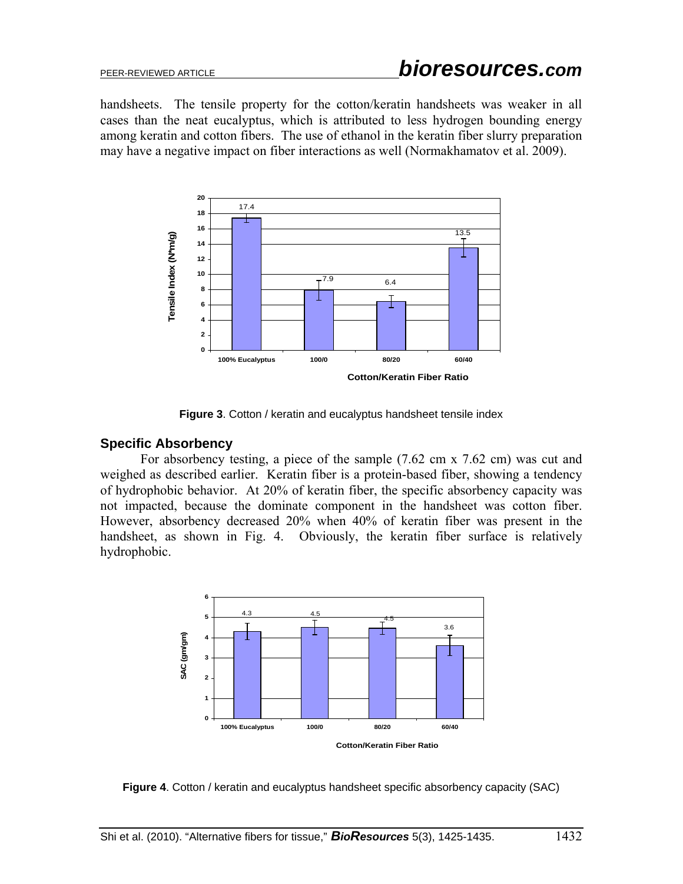handsheets. The tensile property for the cotton/keratin handsheets was weaker in all cases than the neat eucalyptus, which is attributed to less hydrogen bounding energy among keratin and cotton fibers. The use of ethanol in the keratin fiber slurry preparation may have a negative impact on fiber interactions as well (Normakhamatov et al. 2009).



**Figure 3**. Cotton / keratin and eucalyptus handsheet tensile index

### **Specific Absorbency**

For absorbency testing, a piece of the sample (7.62 cm x 7.62 cm) was cut and weighed as described earlier. Keratin fiber is a protein-based fiber, showing a tendency of hydrophobic behavior. At 20% of keratin fiber, the specific absorbency capacity was not impacted, because the dominate component in the handsheet was cotton fiber. However, absorbency decreased 20% when 40% of keratin fiber was present in the handsheet, as shown in Fig. 4. Obviously, the keratin fiber surface is relatively hydrophobic.



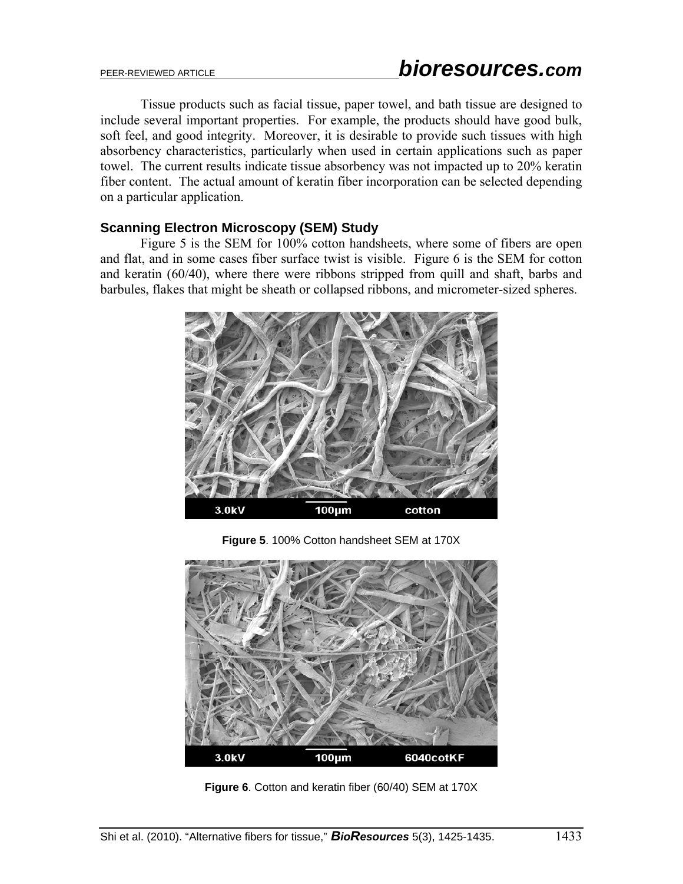Tissue products such as facial tissue, paper towel, and bath tissue are designed to include several important properties. For example, the products should have good bulk, soft feel, and good integrity. Moreover, it is desirable to provide such tissues with high absorbency characteristics, particularly when used in certain applications such as paper towel. The current results indicate tissue absorbency was not impacted up to 20% keratin fiber content. The actual amount of keratin fiber incorporation can be selected depending on a particular application.

### **Scanning Electron Microscopy (SEM) Study**

Figure 5 is the SEM for 100% cotton handsheets, where some of fibers are open and flat, and in some cases fiber surface twist is visible. Figure 6 is the SEM for cotton and keratin (60/40), where there were ribbons stripped from quill and shaft, barbs and barbules, flakes that might be sheath or collapsed ribbons, and micrometer-sized spheres.



**Figure 5**. 100% Cotton handsheet SEM at 170X



**Figure 6**. Cotton and keratin fiber (60/40) SEM at 170X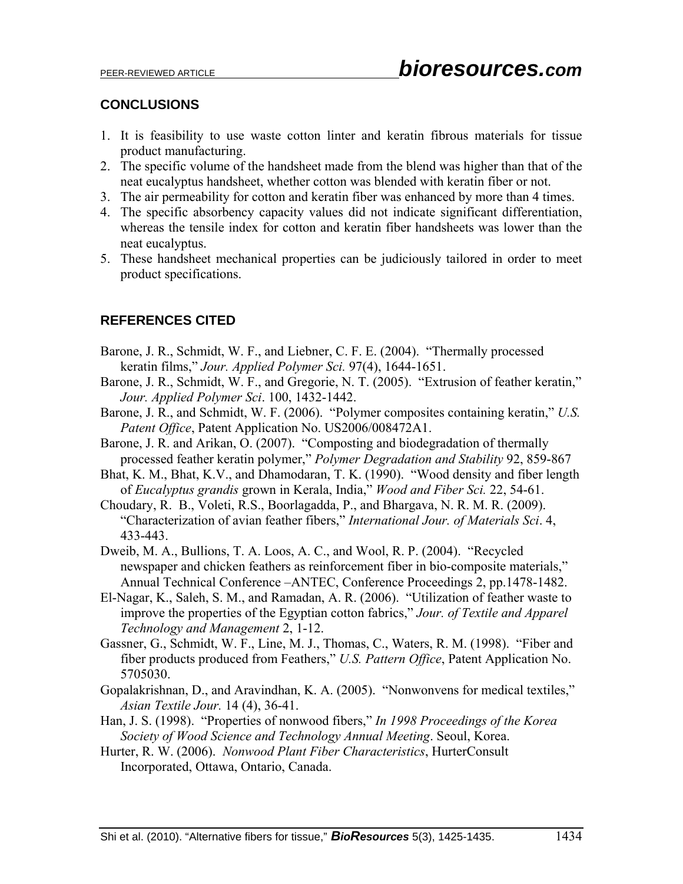### **CONCLUSIONS**

- 1. It is feasibility to use waste cotton linter and keratin fibrous materials for tissue product manufacturing.
- 2. The specific volume of the handsheet made from the blend was higher than that of the neat eucalyptus handsheet, whether cotton was blended with keratin fiber or not.
- 3. The air permeability for cotton and keratin fiber was enhanced by more than 4 times.
- 4. The specific absorbency capacity values did not indicate significant differentiation, whereas the tensile index for cotton and keratin fiber handsheets was lower than the neat eucalyptus.
- 5. These handsheet mechanical properties can be judiciously tailored in order to meet product specifications.

## **REFERENCES CITED**

- Barone, J. R., Schmidt, W. F., and Liebner, C. F. E. (2004). "Thermally processed keratin films," *Jour. Applied Polymer Sci.* 97(4), 1644-1651.
- Barone, J. R., Schmidt, W. F., and Gregorie, N. T. (2005). "Extrusion of feather keratin," *Jour. Applied Polymer Sci*. 100, 1432-1442.
- Barone, J. R., and Schmidt, W. F. (2006). "Polymer composites containing keratin," *U.S. Patent Office*, Patent Application No. US2006/008472A1.
- Barone, J. R. and Arikan, O. (2007). "Composting and biodegradation of thermally processed feather keratin polymer," *Polymer Degradation and Stability* 92, 859-867
- Bhat, K. M., Bhat, K.V., and Dhamodaran, T. K. (1990). "Wood density and fiber length of *Eucalyptus grandis* grown in Kerala, India," *Wood and Fiber Sci.* 22, 54-61.
- Choudary, R. B., Voleti, R.S., Boorlagadda, P., and Bhargava, N. R. M. R. (2009). "Characterization of avian feather fibers," *International Jour. of Materials Sci*. 4, 433-443.
- Dweib, M. A., Bullions, T. A. Loos, A. C., and Wool, R. P. (2004). "Recycled newspaper and chicken feathers as reinforcement fiber in bio-composite materials," Annual Technical Conference –ANTEC, Conference Proceedings 2, pp.1478-1482.
- El-Nagar, K., Saleh, S. M., and Ramadan, A. R. (2006). "Utilization of feather waste to improve the properties of the Egyptian cotton fabrics," *Jour. of Textile and Apparel Technology and Management* 2, 1-12.
- Gassner, G., Schmidt, W. F., Line, M. J., Thomas, C., Waters, R. M. (1998). "Fiber and fiber products produced from Feathers," *U.S. Pattern Office*, Patent Application No. 5705030.
- Gopalakrishnan, D., and Aravindhan, K. A. (2005). "Nonwonvens for medical textiles," *Asian Textile Jour.* 14 (4), 36-41.
- Han, J. S. (1998). "Properties of nonwood fibers," *In 1998 Proceedings of the Korea Society of Wood Science and Technology Annual Meeting*. Seoul, Korea.
- Hurter, R. W. (2006). *Nonwood Plant Fiber Characteristics*, HurterConsult Incorporated, Ottawa, Ontario, Canada.